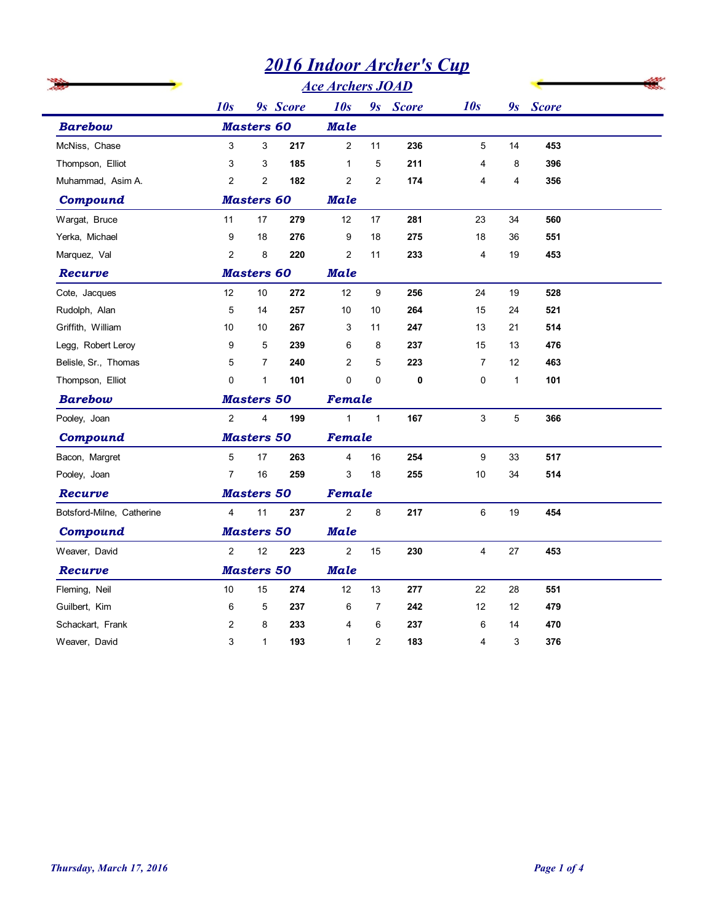|                           |                   |                   | <b>2016 Indoor Archer's Cup</b> |                         |                |          |                         |                |          |  |
|---------------------------|-------------------|-------------------|---------------------------------|-------------------------|----------------|----------|-------------------------|----------------|----------|--|
|                           |                   |                   |                                 | <b>Ace Archers JOAD</b> |                |          |                         |                |          |  |
|                           | 10s               |                   | 9s Score                        | 10s                     |                | 9s Score | 10s                     |                | 9s Score |  |
| <b>Barebow</b>            | <b>Masters 60</b> |                   | <b>Male</b>                     |                         |                |          |                         |                |          |  |
| McNiss, Chase             | 3                 | 3                 | 217                             | $\overline{2}$          | 11             | 236      | 5                       | 14             | 453      |  |
| Thompson, Elliot          | 3                 | 3                 | 185                             | $\mathbf{1}$            | 5              | 211      | $\overline{4}$          | 8              | 396      |  |
| Muhammad, Asim A.         | $\overline{2}$    | $\overline{2}$    | 182                             | $\mathbf{2}$            | $\overline{2}$ | 174      | $\overline{4}$          | $\overline{4}$ | 356      |  |
| Compound                  | <b>Masters 60</b> |                   |                                 | <b>Male</b>             |                |          |                         |                |          |  |
| Wargat, Bruce             | 11                | 17                | 279                             | 12                      | 17             | 281      | 23                      | 34             | 560      |  |
| Yerka, Michael            | 9                 | 18                | 276                             | 9                       | 18             | 275      | 18                      | 36             | 551      |  |
| Marquez, Val              | $\overline{c}$    | 8                 | 220                             | $\overline{2}$          | 11             | 233      | 4                       | 19             | 453      |  |
| Recurve                   |                   | <b>Masters 60</b> |                                 | <b>Male</b>             |                |          |                         |                |          |  |
| Cote, Jacques             | 12                | 10                | 272                             | 12                      | 9              | 256      | 24                      | 19             | 528      |  |
| Rudolph, Alan             | 5                 | 14                | 257                             | 10 <sup>°</sup>         | 10             | 264      | 15                      | 24             | 521      |  |
| Griffith, William         | 10                | 10                | 267                             | 3                       | 11             | 247      | 13                      | 21             | 514      |  |
| Legg, Robert Leroy        | 9                 | 5                 | 239                             | 6                       | 8              | 237      | 15                      | 13             | 476      |  |
| Belisle, Sr., Thomas      | 5                 | $\overline{7}$    | 240                             | $\overline{2}$          | 5              | 223      | $\overline{7}$          | 12             | 463      |  |
| Thompson, Elliot          | $\mathbf 0$       | $\mathbf{1}$      | 101                             | $\mathbf 0$             | 0              | 0        | 0                       | $\mathbf{1}$   | 101      |  |
| <b>Barebow</b>            | <b>Masters 50</b> |                   | Female                          |                         |                |          |                         |                |          |  |
| Pooley, Joan              | $\overline{c}$    | 4                 | 199                             | $\mathbf{1}$            | $\mathbf{1}$   | 167      | 3                       | 5              | 366      |  |
| <b>Compound</b>           |                   | <b>Masters 50</b> |                                 | Female                  |                |          |                         |                |          |  |
| Bacon, Margret            | 5                 | 17                | 263                             | $\overline{\mathbf{4}}$ | $16\,$         | 254      | 9                       | 33             | 517      |  |
| Pooley, Joan              | $\overline{7}$    | 16                | 259                             | 3                       | $18$           | 255      | $10\,$                  | 34             | 514      |  |
| Recurve                   |                   | <b>Masters 50</b> |                                 | Female                  |                |          |                         |                |          |  |
| Botsford-Milne, Catherine | $\overline{4}$    | 11                | 237                             | $\overline{2}$          | $\bf 8$        | 217      | $\,6\,$                 | 19             | 454      |  |
| <b>Compound</b>           |                   | <b>Masters 50</b> |                                 | <b>Male</b>             |                |          |                         |                |          |  |
| Weaver, David             | $\overline{2}$    | $12$              | 223                             | $\overline{c}$          | 15             | 230      | $\overline{\mathbf{4}}$ | 27             | 453      |  |
| Recurve                   |                   | <b>Masters 50</b> |                                 | <b>Male</b>             |                |          |                         |                |          |  |
| Fleming, Neil             | $10\,$            | 15                | 274                             | 12                      | 13             | 277      | 22                      | 28             | 551      |  |
| Guilbert, Kim             | 6                 | $\mathbf 5$       | 237                             | 6                       | $\overline{7}$ | 242      | 12                      | 12             | 479      |  |
| Schackart, Frank          | $\overline{c}$    | 8                 | 233                             | $\overline{4}$          | 6              | 237      | 6                       | 14             | 470      |  |
| Weaver, David             | 3                 | $\mathbf{1}$      | 193                             | $\mathbf{1}$            | $\overline{2}$ | 183      | 4                       | 3              | 376      |  |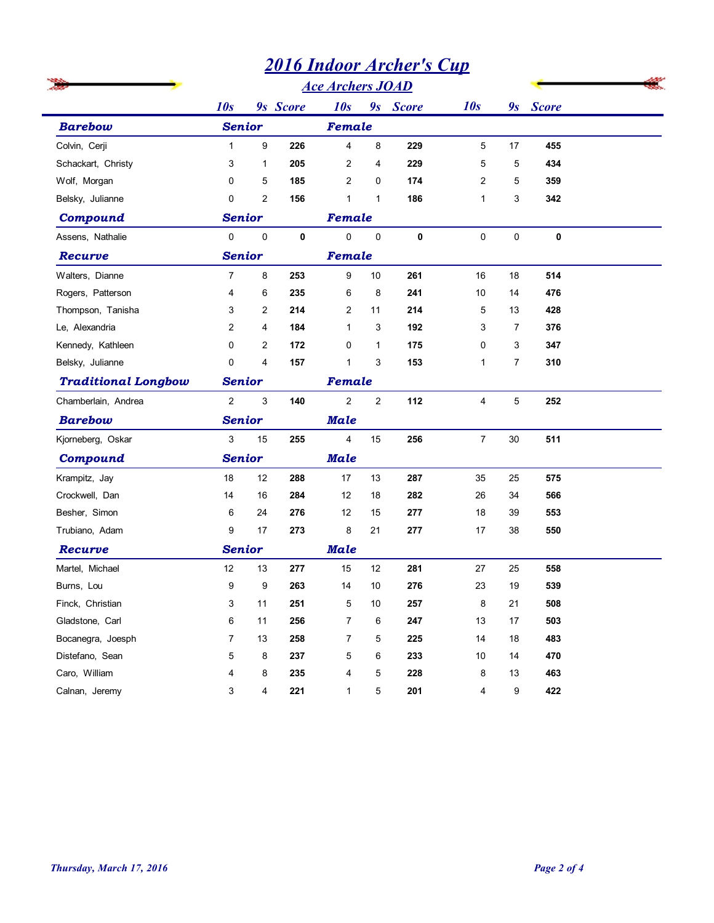| <b>Barebow</b><br>Colvin, Cerji    |                      |                   |             | <b>Ace Archers JOAD</b><br>9s Score |              |             |                     |                |             |  |
|------------------------------------|----------------------|-------------------|-------------|-------------------------------------|--------------|-------------|---------------------|----------------|-------------|--|
|                                    | 10s<br><b>Senior</b> |                   | 9s Score    | 10s<br>Female                       |              |             | 10s                 |                | 9s Score    |  |
|                                    | $\mathbf{1}$         | 9                 | 226         | $\overline{4}$                      | 8            | 229         | 5                   | 17             | 455         |  |
|                                    |                      |                   |             |                                     |              |             |                     |                |             |  |
| Schackart, Christy<br>Wolf, Morgan | 3<br>$\mathbf 0$     | $\mathbf{1}$<br>5 | 205<br>185  | $\overline{2}$<br>2                 | 4<br>0       | 229<br>174  | 5<br>$\overline{2}$ | 5<br>5         | 434<br>359  |  |
| Belsky, Julianne                   | $\mathbf 0$          | $\overline{c}$    | 156         | $\mathbf{1}$                        | $\mathbf{1}$ | 186         | $\mathbf{1}$        | 3              | 342         |  |
| Compound                           | <b>Senior</b>        |                   |             | Female                              |              |             |                     |                |             |  |
| Assens, Nathalie                   | $\mathbf 0$          | $\mathbf 0$       | $\mathbf 0$ | $\mathbf 0$                         | $\pmb{0}$    | $\mathbf 0$ | $\mathbf 0$         | 0              | $\mathbf 0$ |  |
| Recurve                            | <b>Senior</b>        |                   |             | Female                              |              |             |                     |                |             |  |
| Walters, Dianne                    | $\overline{7}$       | 8                 | 253         | 9                                   | 10           | 261         | 16                  | 18             | 514         |  |
| Rogers, Patterson                  | 4                    | 6                 | 235         | 6                                   | 8            | 241         | 10                  | 14             | 476         |  |
| Thompson, Tanisha                  | 3                    | $\overline{c}$    | 214         | $\overline{2}$                      | 11           | 214         | 5                   | 13             | 428         |  |
| Le, Alexandria                     | 2                    | 4                 | 184         | $\mathbf{1}$                        | 3            | 192         | 3                   | $\overline{7}$ | 376         |  |
| Kennedy, Kathleen                  | $\mathbf 0$          | $\overline{2}$    | 172         | $\mathbf 0$                         | $\mathbf{1}$ | 175         | $\mathbf 0$         | 3              | 347         |  |
| Belsky, Julianne                   | $\Omega$             | 4                 | 157         | $\mathbf{1}$                        | 3            | 153         | $\mathbf{1}$        | $\overline{7}$ | 310         |  |
| <b>Traditional Longbow</b>         | <b>Senior</b>        |                   |             | Female                              |              |             |                     |                |             |  |
| Chamberlain, Andrea                | $\overline{2}$       | 3                 | 140         | 2                                   | 2            | 112         | $\overline{4}$      | 5              | 252         |  |
| <b>Barebow</b>                     | <b>Senior</b>        |                   | Male        |                                     |              |             |                     |                |             |  |
| Kjorneberg, Oskar                  | 3                    | 15                | 255         | 4                                   | 15           | 256         | $\overline{7}$      | $30\,$         | 511         |  |
| Compound                           | <b>Senior</b>        |                   |             | <b>Male</b>                         |              |             |                     |                |             |  |
| Krampitz, Jay                      | 18                   | 12                | 288         | 17                                  | $13$         | 287         | $35\,$              | 25             | 575         |  |
| Crockwell, Dan                     | 14                   | 16                | 284         | 12                                  | $18$         | 282         | $26\,$              | 34             | 566         |  |
| Besher, Simon                      | 6                    | 24                | 276         | 12                                  | 15           | 277         | 18                  | 39             | 553         |  |
| Trubiano, Adam                     | 9                    | 17                | 273         | 8                                   | 21           | 277         | $17\,$              | $38\,$         | 550         |  |
| Recurve                            | <b>Senior</b>        |                   |             | <b>Male</b>                         |              |             |                     |                |             |  |
| Martel, Michael                    | $12$                 | 13                | 277         | 15                                  | $12\,$       | 281         | $27\,$              | 25             | 558         |  |
| Burns, Lou                         | 9                    | $\boldsymbol{9}$  | 263         | 14                                  | 10           | 276         | 23                  | 19             | 539         |  |
| Finck, Christian                   | 3                    | 11                | 251         | 5                                   | $10\,$       | 257         | $\bf 8$             | 21             | 508         |  |
| Gladstone, Carl                    | 6                    | 11                | 256         | 7                                   | 6            | 247         | 13                  | 17             | 503         |  |
| Bocanegra, Joesph                  | $\overline{7}$       | 13                | 258         | $\overline{7}$                      | 5            | 225         | 14                  | 18             | 483         |  |
|                                    | 5                    | 8                 | 237         | 5                                   | 6            | 233         | 10                  | 14             | 470         |  |
| Distefano, Sean                    |                      |                   |             |                                     |              | 228         | 8                   | 13             | 463         |  |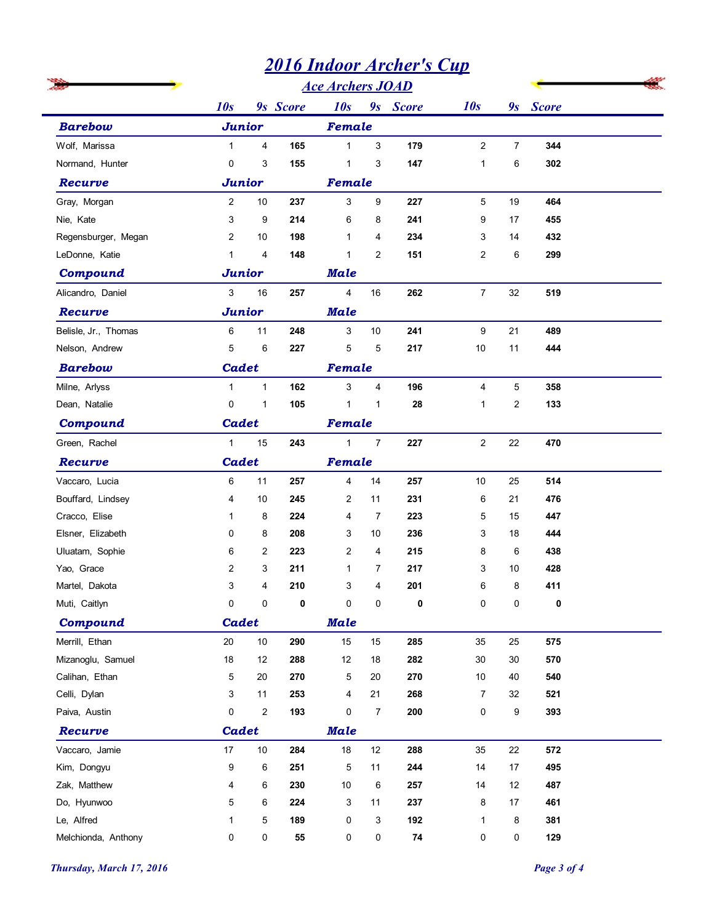|                      | <b>2016 Indoor Archer's Cup</b><br><b>Ace Archers JOAD</b> |                  |           |                         |                |                   |                |                         |            |  |  |  |
|----------------------|------------------------------------------------------------|------------------|-----------|-------------------------|----------------|-------------------|----------------|-------------------------|------------|--|--|--|
|                      |                                                            |                  |           |                         |                |                   |                |                         |            |  |  |  |
|                      | 10s                                                        |                  | 9s Score  | 9s Score<br>10s         |                |                   | 10s            |                         | 9s Score   |  |  |  |
| <b>Barebow</b>       | <b>Junior</b>                                              |                  | Female    |                         |                |                   |                |                         |            |  |  |  |
| Wolf, Marissa        | $\mathbf{1}$                                               | 4                | 165       | $\mathbf{1}$            | 3              | 179               | $\overline{c}$ | 7                       | 344        |  |  |  |
| Normand, Hunter      | 0                                                          | 3                | 155       | $\mathbf{1}$            | 3              | 147               | $\mathbf{1}$   | 6                       | 302        |  |  |  |
| Recurve              | <b>Junior</b>                                              |                  |           | Female                  |                |                   |                |                         |            |  |  |  |
| Gray, Morgan         | $\overline{2}$                                             | 10               | 237       | 3                       | 9              | 227               | 5              | 19                      | 464        |  |  |  |
| Nie, Kate            | 3                                                          | 9                | 214       | 6                       | 8              | 241               | 9              | 17                      | 455        |  |  |  |
| Regensburger, Megan  | $\overline{2}$                                             | 10               | 198       | $\mathbf{1}$            | 4              | 234               | 3              | 14                      | 432        |  |  |  |
| LeDonne, Katie       | $\mathbf{1}$                                               | 4                | 148       | $\mathbf{1}$            | $\overline{2}$ | 151               | $\overline{c}$ | 6                       | 299        |  |  |  |
| Compound             | <b>Junior</b>                                              |                  |           | <b>Male</b>             |                |                   |                |                         |            |  |  |  |
| Alicandro, Daniel    | 3                                                          | 16               | 257       | $\overline{4}$          | 16             | 262               | $\overline{7}$ | 32                      | 519        |  |  |  |
| Recurve              | <b>Junior</b>                                              |                  |           | <b>Male</b>             |                |                   |                |                         |            |  |  |  |
| Belisle, Jr., Thomas | 6                                                          | 11               | 248       | 3                       | 10             | 241               | 9              | 21                      | 489        |  |  |  |
| Nelson, Andrew       | 5                                                          | 6                | 227       | 5                       | 5              | 217               | 10             | 11                      | 444        |  |  |  |
| <b>Barebow</b>       | <b>Cadet</b>                                               |                  |           | Female                  |                |                   |                |                         |            |  |  |  |
| Milne, Arlyss        | $\mathbf{1}$                                               | $\mathbf{1}$     | 162       | 3                       | $\overline{4}$ | 196               | $\overline{4}$ | 5                       | 358        |  |  |  |
| Dean, Natalie        | 0                                                          | 1                | 105       | 1                       | 1              | 28                | 1              | $\overline{\mathbf{c}}$ | 133        |  |  |  |
| Compound             | Cadet                                                      |                  |           | Female                  |                |                   |                |                         |            |  |  |  |
| Green, Rachel        | $\mathbf{1}$                                               | $15\,$           | 243       | $\mathbf{1}$            | $\overline{7}$ | 227               | $\overline{c}$ | 22                      | 470        |  |  |  |
| Recurve              | Cadet                                                      |                  |           | Female                  |                |                   |                |                         |            |  |  |  |
| Vaccaro, Lucia       | 6                                                          | 11               | 257       | $\overline{\mathbf{4}}$ | 14             | 257               | 10             | 25                      | 514        |  |  |  |
| Bouffard, Lindsey    | 4                                                          | $10$             | 245       | 2                       | 11             | 231               | 6              | 21                      | 476        |  |  |  |
| Cracco, Elise        | 1                                                          | 8                | 224       | 4                       | $\overline{7}$ | 223               | $\mathbf 5$    | 15                      | 447        |  |  |  |
| Elsner, Elizabeth    | 0                                                          | 8                | 208       | 3                       | 10             | 236               | 3              | 18                      | 444        |  |  |  |
| Uluatam, Sophie      | 6                                                          | 2                | 223       | $\overline{c}$          | 4              | 215               | 8              | 6                       | 438        |  |  |  |
| Yao, Grace           | $\overline{c}$                                             | 3                | 211       | $\mathbf{1}$            | 7              | 217               | 3              | 10                      | 428        |  |  |  |
| Martel, Dakota       | 3                                                          | 4                | 210       | 3                       | 4              | 201               | 6              | 8                       | 411        |  |  |  |
| Muti, Caitlyn        | 0                                                          | $\pmb{0}$        | 0         | $\mathsf 0$             | 0              | 0                 | 0              | $\pmb{0}$               | 0          |  |  |  |
| Compound             | Cadet                                                      |                  |           | <b>Male</b>             |                |                   |                |                         |            |  |  |  |
| Merrill, Ethan       | 20                                                         | $10\,$           | 290       | 15                      | 15             | 285               | 35             | 25                      | 575        |  |  |  |
| Mizanoglu, Samuel    | $18$                                                       | 12               | 288       | 12                      | 18             | 282               | $30\,$         | 30                      | 570        |  |  |  |
| Calihan, Ethan       | 5                                                          | 20               | 270       | $\mathbf 5$             | 20             | 270               | 10             | 40                      | 540        |  |  |  |
| Celli, Dylan         | 3                                                          | 11               | 253       | $\overline{\mathbf{4}}$ | 21             | 268               | $\overline{7}$ | 32                      | 521        |  |  |  |
| Paiva, Austin        | 0                                                          | $\boldsymbol{2}$ | 193       | 0                       | $\overline{7}$ | 200               | 0              | 9                       | 393        |  |  |  |
| Recurve              | Cadet                                                      |                  |           | <b>Male</b>             |                |                   |                |                         |            |  |  |  |
| Vaccaro, Jamie       | $17\,$                                                     | $10\,$           | 284       | $18\,$                  | 12             | 288               | 35             | 22                      | 572        |  |  |  |
| Kim, Dongyu          | 9                                                          | 6                | 251       | 5                       | 11             | 244               | 14             | $17$                    | 495        |  |  |  |
| Zak, Matthew         | 4                                                          | 6                | 230       | 10                      | 6              | 257               | 14             | 12                      | 487        |  |  |  |
| Do, Hyunwoo          | 5                                                          | 6                | 224       | 3                       | 11             | 237               | 8              | 17                      | 461        |  |  |  |
| Le, Alfred           | $\mathbf 1$<br>0                                           | 5<br>$\pmb{0}$   | 189<br>55 | 0<br>0                  | 3<br>0         | 192<br>${\bf 74}$ | 1<br>0         | 8<br>0                  | 381<br>129 |  |  |  |